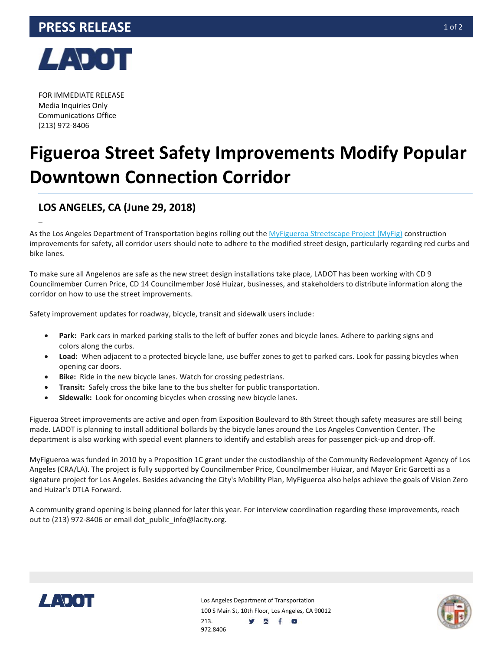

FOR IMMEDIATE RELEASE Media Inquiries Only Communications Office (213) 972-8406

–

## **Figueroa Street Safety Improvements Modify Popular Downtown Connection Corridor**

## **LOS ANGELES, CA (June 29, 2018)**

As the Los Angeles Department of Transportation begins rolling out the [MyFigueroa Streetscape Project \(MyFig\)](https://myfigueroa.com/blog) construction improvements for safety, all corridor users should note to adhere to the modified street design, particularly regarding red curbs and bike lanes.

To make sure all Angelenos are safe as the new street design installations take place, LADOT has been working with CD 9 Councilmember Curren Price, CD 14 Councilmember José Huizar, businesses, and stakeholders to distribute information along the corridor on how to use the street improvements.

Safety improvement updates for roadway, bicycle, transit and sidewalk users include:

- **Park:** Park cars in marked parking stalls to the left of buffer zones and bicycle lanes. Adhere to parking signs and colors along the curbs.
- **Load:** When adjacent to a protected bicycle lane, use buffer zones to get to parked cars. Look for passing bicycles when opening car doors.
- **Bike:** Ride in the new bicycle lanes. Watch for crossing pedestrians.
- **Transit:** Safely cross the bike lane to the bus shelter for public transportation.
- **Sidewalk:** Look for oncoming bicycles when crossing new bicycle lanes.

Figueroa Street improvements are active and open from Exposition Boulevard to 8th Street though safety measures are still being made. LADOT is planning to install additional bollards by the bicycle lanes around the Los Angeles Convention Center. The department is also working with special event planners to identify and establish areas for passenger pick-up and drop-off.

MyFigueroa was funded in 2010 by a Proposition 1C grant under the custodianship of the Community Redevelopment Agency of Los Angeles (CRA/LA). The project is fully supported by Councilmember Price, Councilmember Huizar, and Mayor Eric Garcetti as a signature project for Los Angeles. Besides advancing the City's Mobility Plan, MyFigueroa also helps achieve the goals of Vision Zero and Huizar's DTLA Forward.

A community grand opening is being planned for later this year. For interview coordination regarding these improvements, reach out to (213) 972-8406 or email dot public info@lacity.org.



Los Angeles Department of Transportation 100 S Main St, 10th Floor, Los Angeles, CA 90012 y d f a 213. 972.8406